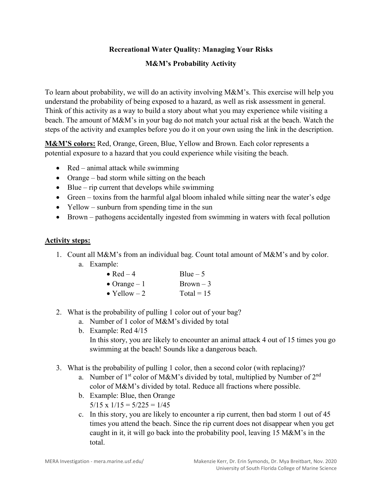# **Recreational Water Quality: Managing Your Risks**

## **M&M's Probability Activity**

To learn about probability, we will do an activity involving M&M's. This exercise will help you understand the probability of being exposed to a hazard, as well as risk assessment in general. Think of this activity as a way to build a story about what you may experience while visiting a beach. The amount of M&M's in your bag do not match your actual risk at the beach. Watch the steps of the activity and examples before you do it on your own using the link in the description.

**M&M'S colors:** Red, Orange, Green, Blue, Yellow and Brown. Each color represents a potential exposure to a hazard that you could experience while visiting the beach.

- Red animal attack while swimming
- Orange bad storm while sitting on the beach
- Blue rip current that develops while swimming
- Green toxins from the harmful algal bloom inhaled while sitting near the water's edge
- Yellow sunburn from spending time in the sun
- Brown pathogens accidentally ingested from swimming in waters with fecal pollution

#### **Activity steps:**

1. Count all M&M's from an individual bag. Count total amount of M&M's and by color. a. Example:

| • Red $-4$           | $Blue - 5$   |  |  |
|----------------------|--------------|--|--|
| $\bullet$ Orange – 1 | $Brown-3$    |  |  |
| • Yellow $-2$        | Total = $15$ |  |  |

- 2. What is the probability of pulling 1 color out of your bag?
	- a. Number of 1 color of M&M's divided by total
	- b. Example: Red 4/15 In this story, you are likely to encounter an animal attack 4 out of 15 times you go swimming at the beach! Sounds like a dangerous beach.
- 3. What is the probability of pulling 1 color, then a second color (with replacing)?
	- a. Number of  $1<sup>st</sup>$  color of M&M's divided by total, multiplied by Number of  $2<sup>nd</sup>$ color of M&M's divided by total. Reduce all fractions where possible.
	- b. Example: Blue, then Orange  $5/15 \times 1/15 = 5/225 = 1/45$
	- c. In this story, you are likely to encounter a rip current, then bad storm 1 out of 45 times you attend the beach. Since the rip current does not disappear when you get caught in it, it will go back into the probability pool, leaving 15 M&M's in the total.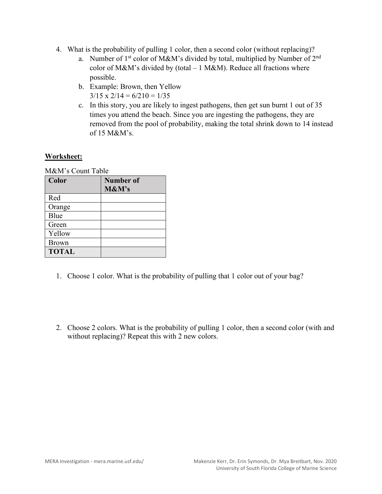- 4. What is the probability of pulling 1 color, then a second color (without replacing)?
	- a. Number of  $1<sup>st</sup>$  color of M&M's divided by total, multiplied by Number of  $2<sup>nd</sup>$ color of M&M's divided by (total  $-1$  M&M). Reduce all fractions where possible.
	- b. Example: Brown, then Yellow  $3/15 \times 2/14 = 6/210 = 1/35$
	- c. In this story, you are likely to ingest pathogens, then get sun burnt 1 out of 35 times you attend the beach. Since you are ingesting the pathogens, they are removed from the pool of probability, making the total shrink down to 14 instead of 15 M&M's.

# **Worksheet:**

M&M's Count Table

| Color        | <b>Number of</b><br>M&M's |
|--------------|---------------------------|
| Red          |                           |
| Orange       |                           |
| Blue         |                           |
| Green        |                           |
| Yellow       |                           |
| <b>Brown</b> |                           |
| <b>TOTAL</b> |                           |

- 1. Choose 1 color. What is the probability of pulling that 1 color out of your bag?
- 2. Choose 2 colors. What is the probability of pulling 1 color, then a second color (with and without replacing)? Repeat this with 2 new colors.